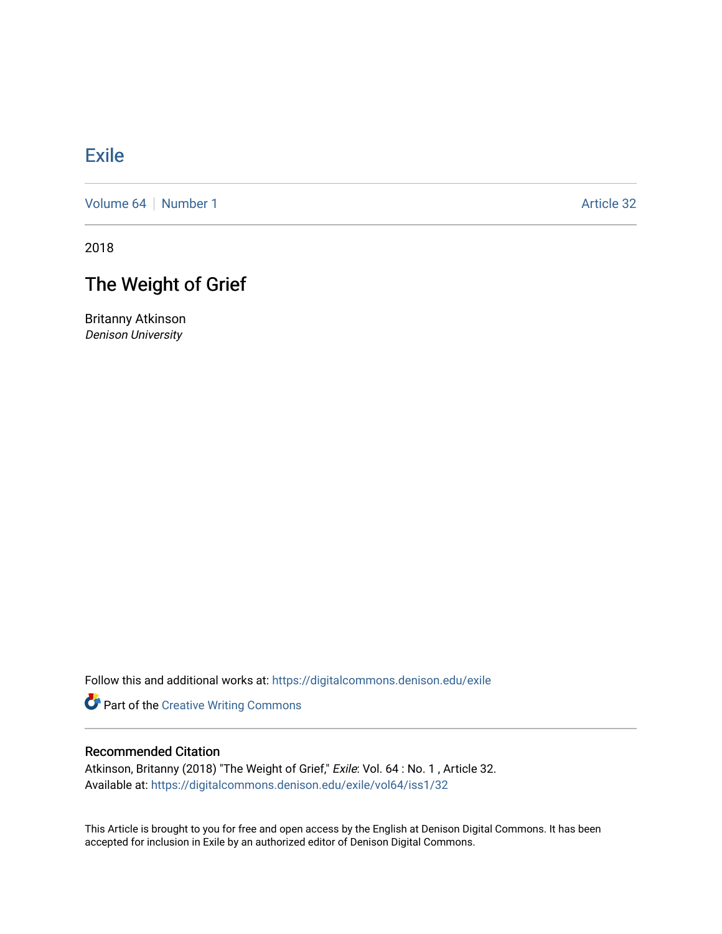## [Exile](https://digitalcommons.denison.edu/exile)

[Volume 64](https://digitalcommons.denison.edu/exile/vol64) [Number 1](https://digitalcommons.denison.edu/exile/vol64/iss1) Article 32

2018

# The Weight of Grief

Britanny Atkinson Denison University

Follow this and additional works at: [https://digitalcommons.denison.edu/exile](https://digitalcommons.denison.edu/exile?utm_source=digitalcommons.denison.edu%2Fexile%2Fvol64%2Fiss1%2F32&utm_medium=PDF&utm_campaign=PDFCoverPages) 

**Part of the Creative Writing Commons** 

### Recommended Citation

Atkinson, Britanny (2018) "The Weight of Grief," Exile: Vol. 64 : No. 1 , Article 32. Available at: [https://digitalcommons.denison.edu/exile/vol64/iss1/32](https://digitalcommons.denison.edu/exile/vol64/iss1/32?utm_source=digitalcommons.denison.edu%2Fexile%2Fvol64%2Fiss1%2F32&utm_medium=PDF&utm_campaign=PDFCoverPages)

This Article is brought to you for free and open access by the English at Denison Digital Commons. It has been accepted for inclusion in Exile by an authorized editor of Denison Digital Commons.